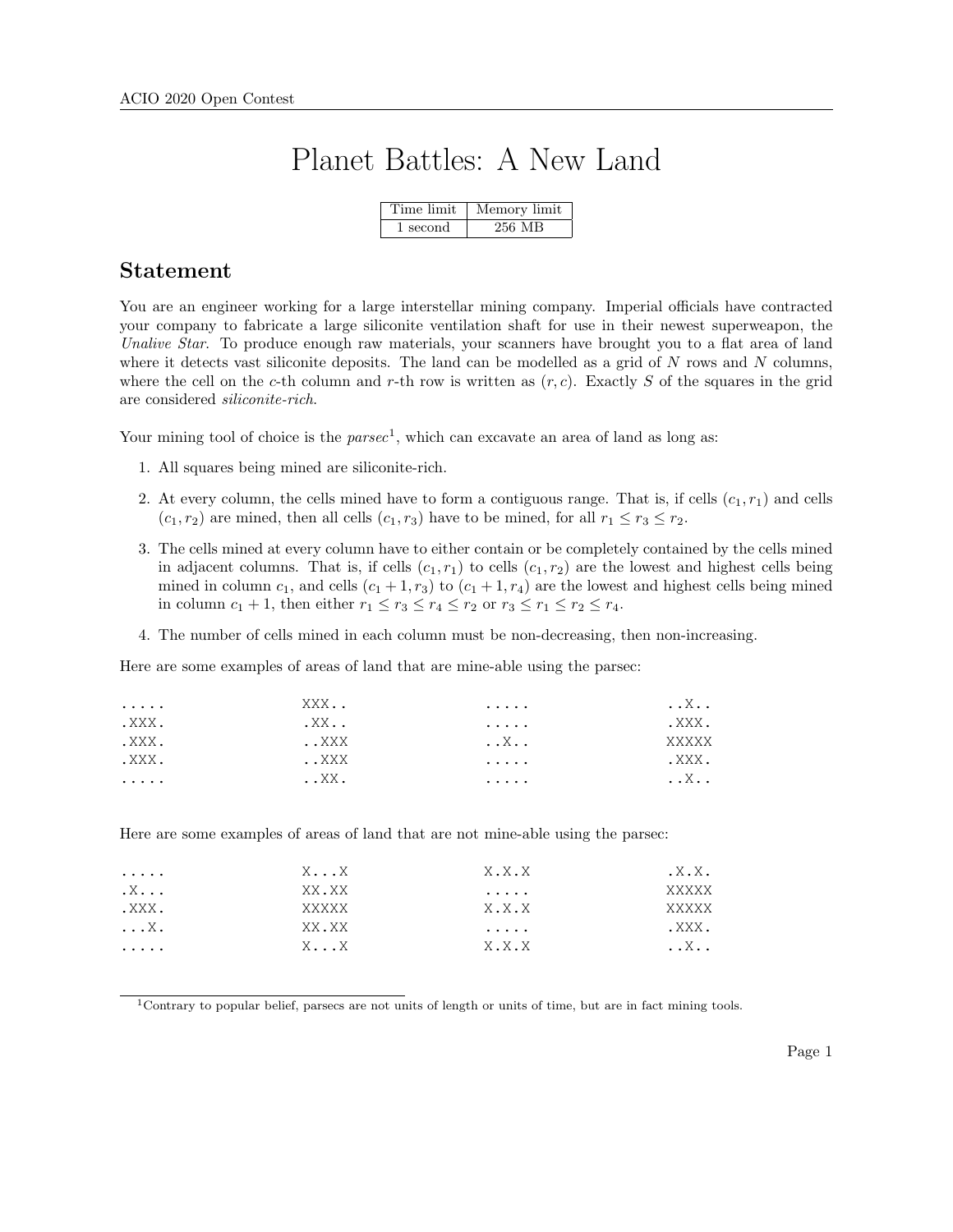# Planet Battles: A New Land

|          | Time limit   Memory limit |
|----------|---------------------------|
| 1 second | 256 MB                    |

#### Statement

You are an engineer working for a large interstellar mining company. Imperial officials have contracted your company to fabricate a large siliconite ventilation shaft for use in their newest superweapon, the Unalive Star. To produce enough raw materials, your scanners have brought you to a flat area of land where it detects vast siliconite deposits. The land can be modelled as a grid of  $N$  rows and  $N$  columns, where the cell on the c-th column and r-th row is written as  $(r, c)$ . Exactly S of the squares in the grid are considered siliconite-rich.

Your mining tool of choice is the  $parsec<sup>1</sup>$ , which can excavate an area of land as long as:

- 1. All squares being mined are siliconite-rich.
- 2. At every column, the cells mined have to form a contiguous range. That is, if cells  $(c_1, r_1)$  and cells  $(c_1, r_2)$  are mined, then all cells  $(c_1, r_3)$  have to be mined, for all  $r_1 \le r_3 \le r_2$ .
- 3. The cells mined at every column have to either contain or be completely contained by the cells mined in adjacent columns. That is, if cells  $(c_1, r_1)$  to cells  $(c_1, r_2)$  are the lowest and highest cells being mined in column  $c_1$ , and cells  $(c_1 + 1, r_3)$  to  $(c_1 + 1, r_4)$  are the lowest and highest cells being mined in column  $c_1 + 1$ , then either  $r_1 \le r_3 \le r_4 \le r_2$  or  $r_3 \le r_1 \le r_2 \le r_4$ .
- 4. The number of cells mined in each column must be non-decreasing, then non-increasing.

Here are some examples of areas of land that are mine-able using the parsec:

| .     | XXX                  | $\cdots\cdots\cdots$ | $\ldots$ $X$ . . |
|-------|----------------------|----------------------|------------------|
| .XXX. | $.$ XX $.\,\,.$      | .                    | .XXX.            |
| .XXX. | XXX                  | . . X                | XXXXX            |
| .XXX. | XXX                  | .                    | .XXX.            |
| .     | $\ldots$ XX $\ldots$ | .                    | $\ldots$ $X$     |

Here are some examples of areas of land that are not mine-able using the parsec:

| .                  | $X \ldots X$ | X.X.X | $. \times . \times .$ |
|--------------------|--------------|-------|-----------------------|
| $\cdot$ X $\ldots$ | XX.XX        | .     | XXXXX                 |
| .XXX.              | XXXXX        | X.X.X | XXXXX                 |
| $\ldots$ X .       | XX.XX        | .     | .XXX.                 |
| .                  | $X \ldots X$ | X.X.X | $\ldots$ X $\ldots$   |

<sup>1</sup>Contrary to popular belief, parsecs are not units of length or units of time, but are in fact mining tools.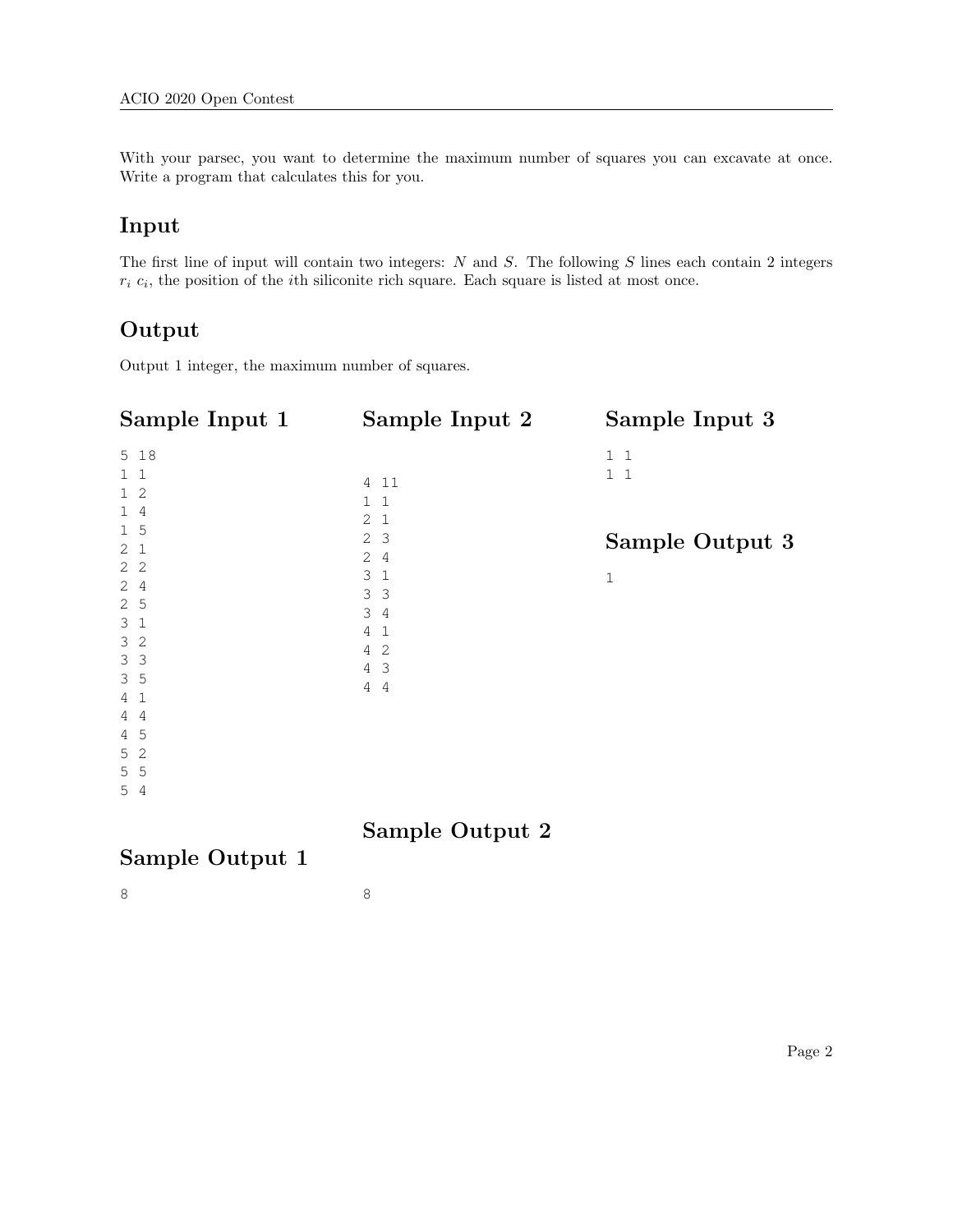With your parsec, you want to determine the maximum number of squares you can excavate at once. Write a program that calculates this for you.

## Input

The first line of input will contain two integers: N and S. The following S lines each contain 2 integers  $r_i$   $c_i$ , the position of the *i*th siliconite rich square. Each square is listed at most once.

### Output

Output 1 integer, the maximum number of squares.

| Sample Input 1                                                                                                                                                                                                                                                 | Sample Input 2                                                                                                                                                                                   | Sample Input 3                                           |
|----------------------------------------------------------------------------------------------------------------------------------------------------------------------------------------------------------------------------------------------------------------|--------------------------------------------------------------------------------------------------------------------------------------------------------------------------------------------------|----------------------------------------------------------|
| 5 18<br>$1\quad1$<br>1 <sub>2</sub><br>14<br>$1\overline{5}$<br>2 <sub>1</sub><br>2 <sub>2</sub><br>24<br>2 <sub>5</sub><br>3 <sub>1</sub><br>3 <sup>2</sup><br>3 <sup>3</sup><br>3 <sub>5</sub><br>4 <sub>1</sub><br>44<br>$4\quad5$<br>5 <sub>2</sub><br>5 5 | 4 11<br>$\mathbf{1}$<br>1<br>2<br>$\mathbf{1}$<br>2 <sup>3</sup><br>2<br>4<br>3 <sub>1</sub><br>3 <sup>3</sup><br>34<br>4<br>1<br>-2<br>4<br>$4\overline{3}$<br>$\overline{4}$<br>$\overline{4}$ | $1\quad1$<br>$1\quad1$<br>Sample Output 3<br>$\mathbf 1$ |
| 54                                                                                                                                                                                                                                                             |                                                                                                                                                                                                  |                                                          |

### Sample Output 2

8

## Sample Output 1

8